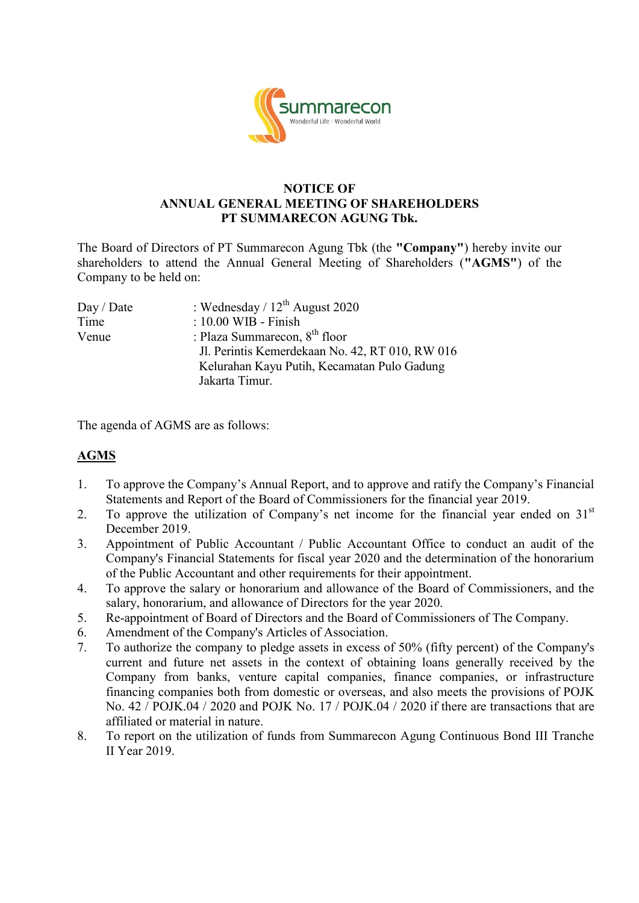

#### **NOTICE OF ANNUAL GENERAL MEETING OF SHAREHOLDERS PT SUMMARECON AGUNG Tbk.**

The Board of Directors of PT Summarecon Agung Tbk (the **"Company"**) hereby invite our shareholders to attend the Annual General Meeting of Shareholders (**"AGMS"**) of the Company to be held on:

| : Wednesday / $12^{th}$ August 2020             |
|-------------------------------------------------|
| $: 10.00$ WIB - Finish                          |
| : Plaza Summarecon, $8th$ floor                 |
| Jl. Perintis Kemerdekaan No. 42, RT 010, RW 016 |
| Kelurahan Kayu Putih, Kecamatan Pulo Gadung     |
| Jakarta Timur.                                  |
|                                                 |

The agenda of AGMS are as follows:

# **AGMS**

- 1. To approve the Company's Annual Report, and to approve and ratify the Company's Financial Statements and Report of the Board of Commissioners for the financial year 2019.
- 2. To approve the utilization of Company's net income for the financial year ended on  $31<sup>st</sup>$ December 2019.
- 3. Appointment of Public Accountant / Public Accountant Office to conduct an audit of the Company's Financial Statements for fiscal year 2020 and the determination of the honorarium of the Public Accountant and other requirements for their appointment.
- 4. To approve the salary or honorarium and allowance of the Board of Commissioners, and the salary, honorarium, and allowance of Directors for the year 2020.
- 5. Re-appointment of Board of Directors and the Board of Commissioners of The Company.
- 6. Amendment of the Company's Articles of Association.
- 7. To authorize the company to pledge assets in excess of 50% (fifty percent) of the Company's current and future net assets in the context of obtaining loans generally received by the Company from banks, venture capital companies, finance companies, or infrastructure financing companies both from domestic or overseas, and also meets the provisions of POJK No. 42 / POJK.04 / 2020 and POJK No. 17 / POJK.04 / 2020 if there are transactions that are affiliated or material in nature.
- 8. To report on the utilization of funds from Summarecon Agung Continuous Bond III Tranche II Year 2019.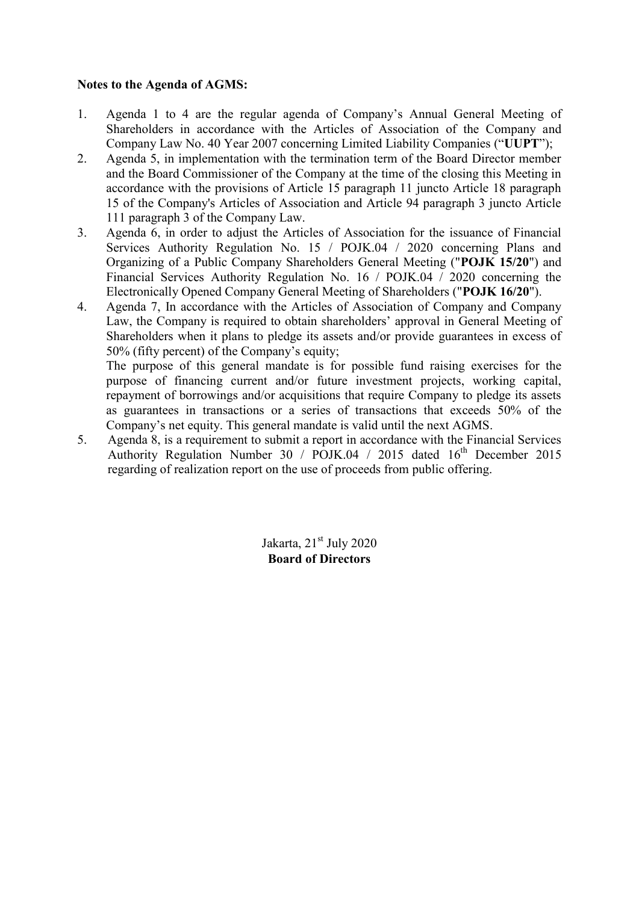#### **Notes to the Agenda of AGMS:**

- 1. Agenda 1 to 4 are the regular agenda of Company's Annual General Meeting of Shareholders in accordance with the Articles of Association of the Company and Company Law No. 40 Year 2007 concerning Limited Liability Companies ("**UUPT**");
- 2. Agenda 5, in implementation with the termination term of the Board Director member and the Board Commissioner of the Company at the time of the closing this Meeting in accordance with the provisions of Article 15 paragraph 11 juncto Article 18 paragraph 15 of the Company's Articles of Association and Article 94 paragraph 3 juncto Article 111 paragraph 3 of the Company Law.
- 3. Agenda 6, in order to adjust the Articles of Association for the issuance of Financial Services Authority Regulation No. 15 / POJK.04 / 2020 concerning Plans and Organizing of a Public Company Shareholders General Meeting ("**POJK 15/20**") and Financial Services Authority Regulation No. 16 / POJK.04 / 2020 concerning the Electronically Opened Company General Meeting of Shareholders ("**POJK 16/20**").
- 4. Agenda 7, In accordance with the Articles of Association of Company and Company Law, the Company is required to obtain shareholders' approval in General Meeting of Shareholders when it plans to pledge its assets and/or provide guarantees in excess of 50% (fifty percent) of the Company's equity;

The purpose of this general mandate is for possible fund raising exercises for the purpose of financing current and/or future investment projects, working capital, repayment of borrowings and/or acquisitions that require Company to pledge its assets as guarantees in transactions or a series of transactions that exceeds 50% of the Company's net equity. This general mandate is valid until the next AGMS.

5. Agenda 8, is a requirement to submit a report in accordance with the Financial Services Authority Regulation Number 30 /  $POJK.04$  / 2015 dated  $16<sup>th</sup>$  December 2015 regarding of realization report on the use of proceeds from public offering.

> Jakarta,  $21<sup>st</sup>$  July 2020 **Board of Directors**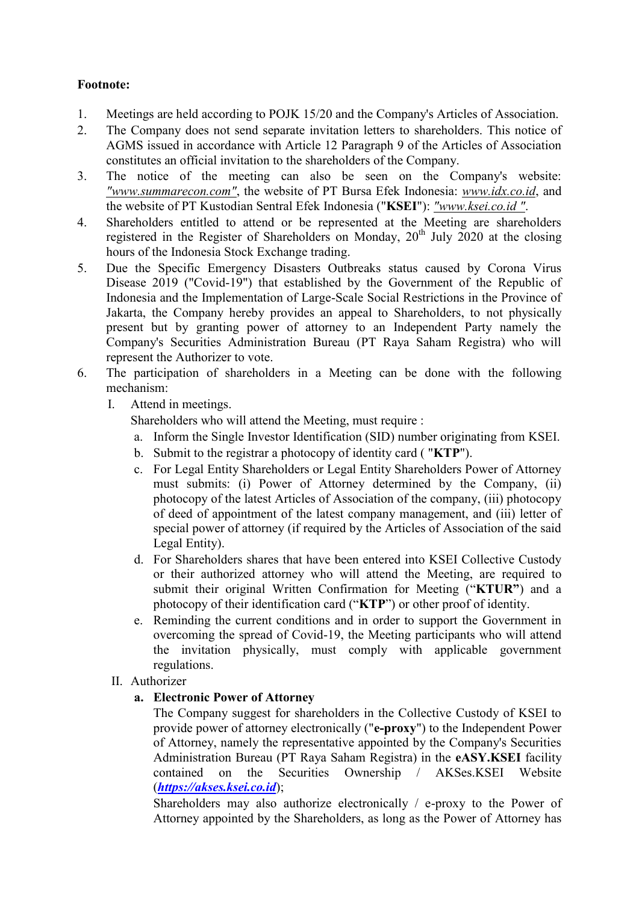## **Footnote:**

- 1. Meetings are held according to POJK 15/20 and the Company's Articles of Association.
- 2. The Company does not send separate invitation letters to shareholders. This notice of AGMS issued in accordance with Article 12 Paragraph 9 of the Articles of Association constitutes an official invitation to the shareholders of the Company.
- 3. The notice of the meeting can also be seen on the Company's website: *"www.summarecon.com"*, the website of PT Bursa Efek Indonesia: *www.idx.co.id*, and the website of PT Kustodian Sentral Efek Indonesia ("**KSEI**"): *"www.ksei.co.id "*.
- 4. Shareholders entitled to attend or be represented at the Meeting are shareholders registered in the Register of Shareholders on Monday,  $20^{th}$  July 2020 at the closing hours of the Indonesia Stock Exchange trading.
- 5. Due the Specific Emergency Disasters Outbreaks status caused by Corona Virus Disease 2019 ("Covid-19") that established by the Government of the Republic of Indonesia and the Implementation of Large-Scale Social Restrictions in the Province of Jakarta, the Company hereby provides an appeal to Shareholders, to not physically present but by granting power of attorney to an Independent Party namely the Company's Securities Administration Bureau (PT Raya Saham Registra) who will represent the Authorizer to vote.
- 6. The participation of shareholders in a Meeting can be done with the following mechanism:
	- I. Attend in meetings.

Shareholders who will attend the Meeting, must require :

- a. Inform the Single Investor Identification (SID) number originating from KSEI.
- b. Submit to the registrar a photocopy of identity card ( "**KTP**").
- c. For Legal Entity Shareholders or Legal Entity Shareholders Power of Attorney must submits: (i) Power of Attorney determined by the Company, (ii) photocopy of the latest Articles of Association of the company, (iii) photocopy of deed of appointment of the latest company management, and (iii) letter of special power of attorney (if required by the Articles of Association of the said Legal Entity).
- d. For Shareholders shares that have been entered into KSEI Collective Custody or their authorized attorney who will attend the Meeting, are required to submit their original Written Confirmation for Meeting ("**KTUR"**) and a photocopy of their identification card ("**KTP**") or other proof of identity.
- e. Reminding the current conditions and in order to support the Government in overcoming the spread of Covid-19, the Meeting participants who will attend the invitation physically, must comply with applicable government regulations.
- II. Authorizer

### **a. Electronic Power of Attorney**

The Company suggest for shareholders in the Collective Custody of KSEI to provide power of attorney electronically ("**e-proxy**") to the Independent Power of Attorney, namely the representative appointed by the Company's Securities Administration Bureau (PT Raya Saham Registra) in the **eASY.KSEI** facility contained on the Securities Ownership / AKSes.KSEI Website (*[https://akses.ksei.co.id](https://akses.ksei.co.id/)*);

Shareholders may also authorize electronically / e-proxy to the Power of Attorney appointed by the Shareholders, as long as the Power of Attorney has